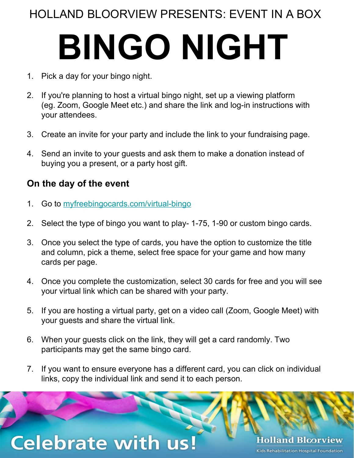### HOLLAND BLOORVIEW PRESENTS: EVENT IN A BOX

# **BINGO NIGHT**

- 1. Pick a day for your bingo night.
- 2. If you're planning to host a virtual bingo night, set up a viewing platform (eg. Zoom, Google Meet etc.) and share the link and log-in instructions with your attendees.
- 3. Create an invite for your party and include the link to your fundraising page.
- 4. Send an invite to your guests and ask them to make a donation instead of buying you a present, or a party host gift.

### **On the day of the event**

- 1. Go to [myfreebingocards.com/virtual-bingo](http://myfreebingocards.com/virtual-bingo)
- 2. Select the type of bingo you want to play- 1-75, 1-90 or custom bingo cards.
- 3. Once you select the type of cards, you have the option to customize the title and column, pick a theme, select free space for your game and how many cards per page.
- 4. Once you complete the customization, select 30 cards for free and you will see your virtual link which can be shared with your party.
- 5. If you are hosting a virtual party, get on a video call (Zoom, Google Meet) with your guests and share the virtual link.
- 6. When your guests click on the link, they will get a card randomly. Two participants may get the same bingo card.
- 7. If you want to ensure everyone has a different card, you can click on individual links, copy the individual link and send it to each person.

## **Celebrate with us!**

**Holland Bloorview** Kids Rehabilitation Hospital Foundation